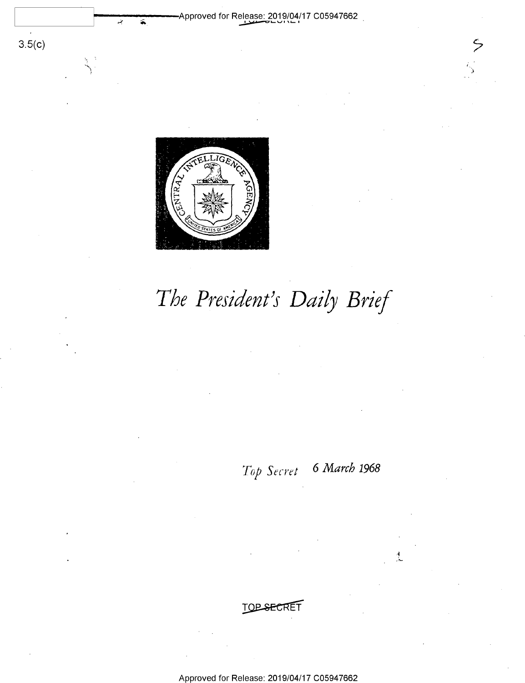

منب

 $3.5(c)$ 

## The President's Daily Brief

6 March 1968 Top Secret

**TOP-SECRET** 

Approved for Release: 2019/04/17 C05947662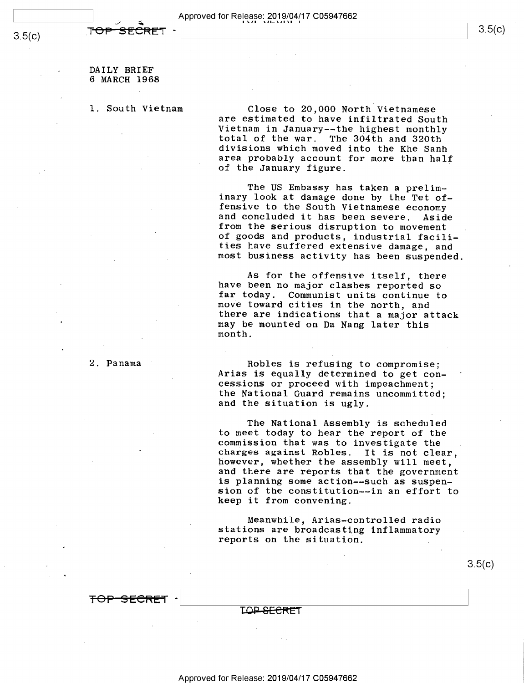$3.5(c)$ 

DAILY BRIEF 6 MARCH 1968

1. South Vietnam Close to 20,000 North Vietnamese<br>are estimated to have infiltrated South Vietnam in January--the highest monthly<br>total of the war. The 304th and 320th<br>divisions which moved into the Khe Sanh area probably account for more than half<br>of the January figure.

> The US Embassy has taken a prelim-<br>inary look at damage done by the Tet offensive to the South Vietnamese economy<br>and concluded it has been severe. Aside<br>from the serious disruption to movement<br>of goods and products, industrial facilities have suffered extensive damage, and<br>most business activity has been suspended.

As for the offensive itself, there have been no major clashes reported so far today. Communist units continue to move toward cities in the north, and there are indications that a major attack may be mounted on Da Nang later this month.

2. Panama ' Robles is refusing to compromise;<br>Arias is equally determined to get concessions or proceed with impeachment; the National Guard remains uncommitted; and the situation is ugly.

> The National Assembly is scheduled to meet today to hear the report of the charges against Robles. It is not clear,<br>however, whether the assembly will meet,<br>and there are reports that the government<br>is planning some action--such as suspension of the constitution--in an effort to keep it from convening.

Meanwhile, Arias-controlled radio stations are broadcasting inflammatory reports on the situation.

 $3.5(c)$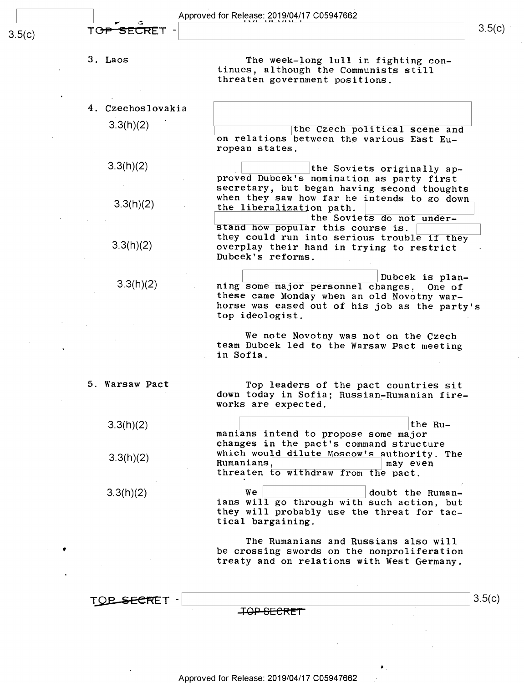- 3. Laos
- 4. Czechoslovakia 3.3(h)(2) '

3.3(h)(2)

3.3(h)(2)

3.3(h)(2)

3.3(h)(2)

5. Warsaw Pact

3.3(h)(2)

 $3.3(h)(2)$ 

3.3(h)(2)

The week-long lull in fighting con-<br>tinues, although the Communists still<br>threaten government positions.

the Czech political scene and<br>on relations between the various East Eu-<br>ropean states.

The Soviets originally ap-<br>proved Dubcek's nomination as party first<br>secretary, but began having second thoughts<br>when they saw how far he intends to go down<br>the liberalization path.

the Soviets do not under-<br>stand how popular this course is. they could run into serious trouble if they overplay their hand in trying to restrict Dubcek's reforms. \_

\ \Dubcek is plan- ning some major personnel changes, One of these came Monday when an old Novotny war- horse was eased out of his job as the party's top ideologist.

We note Novotny was not on the Czech team Dubcek led to the Warsaw Pact meeting in Sofia.

Top leaders of the pact countries sit down today in Sofia; Russian-Rumanian fire- works are expected.

the Ru-<br>
manians intend to propose some major<br>
changes in the pact's command structure<br>
which would dilute Moscow's authority. The<br>
Rumanians<br>  $\begin{array}{|l|} \hline \text{Rumanians} & \text{may even} \\ \hline \text{there to withdraw from the pact} . \hline \end{array}$ 

 $W$ e  $\vert$  doubt the Rumanians will go through with such action, but they will probably use the threat for tactical bargaining.

The Rumanians and Russians also will be crossing swords on the nonproliferation treaty and on relations with West Germany.

TO<del>P SECRE</del>T

TOP SECRET

 $3.5(c)$